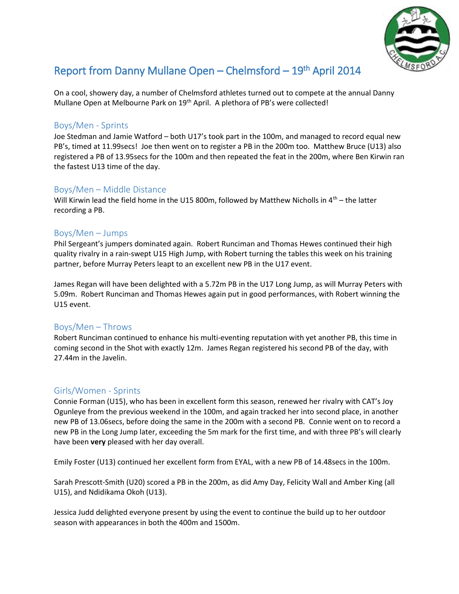

# Report from Danny Mullane Open – Chelmsford – 19<sup>th</sup> April 2014

On a cool, showery day, a number of Chelmsford athletes turned out to compete at the annual Danny Mullane Open at Melbourne Park on 19<sup>th</sup> April. A plethora of PB's were collected!

#### Boys/Men - Sprints

Joe Stedman and Jamie Watford – both U17's took part in the 100m, and managed to record equal new PB's, timed at 11.99secs! Joe then went on to register a PB in the 200m too. Matthew Bruce (U13) also registered a PB of 13.95secs for the 100m and then repeated the feat in the 200m, where Ben Kirwin ran the fastest U13 time of the day.

## Boys/Men – Middle Distance

Will Kirwin lead the field home in the U15 800m, followed by Matthew Nicholls in  $4<sup>th</sup>$  – the latter recording a PB.

## Boys/Men – Jumps

Phil Sergeant's jumpers dominated again. Robert Runciman and Thomas Hewes continued their high quality rivalry in a rain-swept U15 High Jump, with Robert turning the tables this week on his training partner, before Murray Peters leapt to an excellent new PB in the U17 event.

James Regan will have been delighted with a 5.72m PB in the U17 Long Jump, as will Murray Peters with 5.09m. Robert Runciman and Thomas Hewes again put in good performances, with Robert winning the U15 event.

## Boys/Men – Throws

Robert Runciman continued to enhance his multi-eventing reputation with yet another PB, this time in coming second in the Shot with exactly 12m. James Regan registered his second PB of the day, with 27.44m in the Javelin.

## Girls/Women - Sprints

Connie Forman (U15), who has been in excellent form this season, renewed her rivalry with CAT's Joy Ogunleye from the previous weekend in the 100m, and again tracked her into second place, in another new PB of 13.06secs, before doing the same in the 200m with a second PB. Connie went on to record a new PB in the Long Jump later, exceeding the 5m mark for the first time, and with three PB's will clearly have been **very** pleased with her day overall.

Emily Foster (U13) continued her excellent form from EYAL, with a new PB of 14.48secs in the 100m.

Sarah Prescott-Smith (U20) scored a PB in the 200m, as did Amy Day, Felicity Wall and Amber King (all U15), and Ndidikama Okoh (U13).

Jessica Judd delighted everyone present by using the event to continue the build up to her outdoor season with appearances in both the 400m and 1500m.